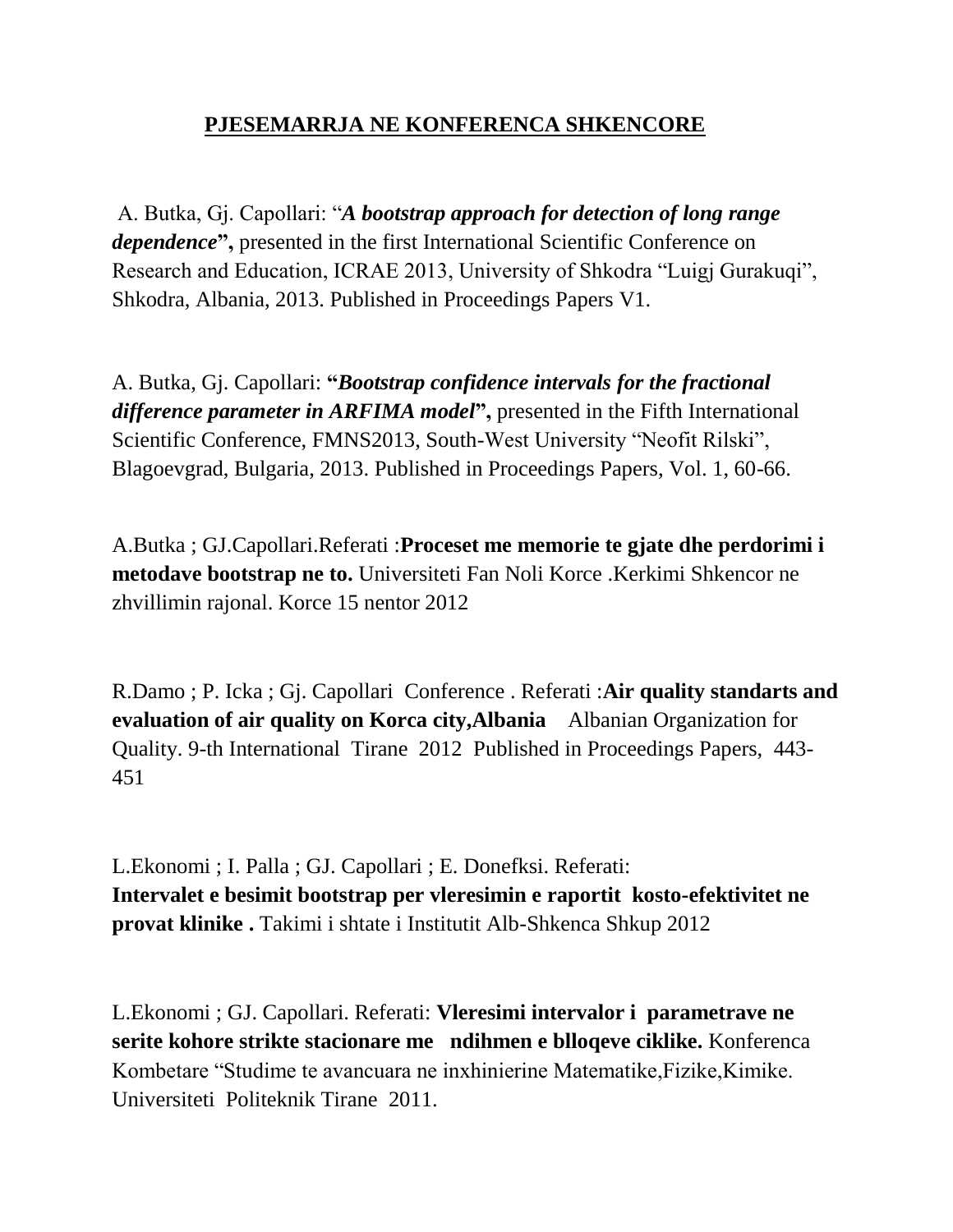## **PJESEMARRJA NE KONFERENCA SHKENCORE**

A. Butka, Gj. Capollari: "*A bootstrap approach for detection of long range dependence***",** presented in the first International Scientific Conference on Research and Education, ICRAE 2013, University of Shkodra "Luigj Gurakuqi", Shkodra, Albania, 2013. Published in Proceedings Papers V1.

A. Butka, Gj. Capollari: **"***Bootstrap confidence intervals for the fractional difference parameter in ARFIMA model***",** presented in the Fifth International Scientific Conference, FMNS2013, South-West University "Neofit Rilski", Blagoevgrad, Bulgaria, 2013. Published in Proceedings Papers, Vol. 1, 60-66.

A.Butka ; GJ.Capollari.Referati :**Proceset me memorie te gjate dhe perdorimi i metodave bootstrap ne to.** Universiteti Fan Noli Korce .Kerkimi Shkencor ne zhvillimin rajonal. Korce 15 nentor 2012

R.Damo ; P. Icka ; Gj. Capollari Conference . Referati :**Air quality standarts and evaluation of air quality on Korca city,Albania** Albanian Organization for Quality. 9-th International Tirane 2012 Published in Proceedings Papers, 443- 451

L.Ekonomi ; I. Palla ; GJ. Capollari ; E. Donefksi. Referati: **Intervalet e besimit bootstrap per vleresimin e raportit kosto-efektivitet ne provat klinike .** Takimi i shtate i Institutit Alb-Shkenca Shkup 2012

L.Ekonomi ; GJ. Capollari. Referati: **Vleresimi intervalor i parametrave ne serite kohore strikte stacionare me ndihmen e blloqeve ciklike.** Konferenca Kombetare "Studime te avancuara ne inxhinierine Matematike,Fizike,Kimike. Universiteti Politeknik Tirane 2011.